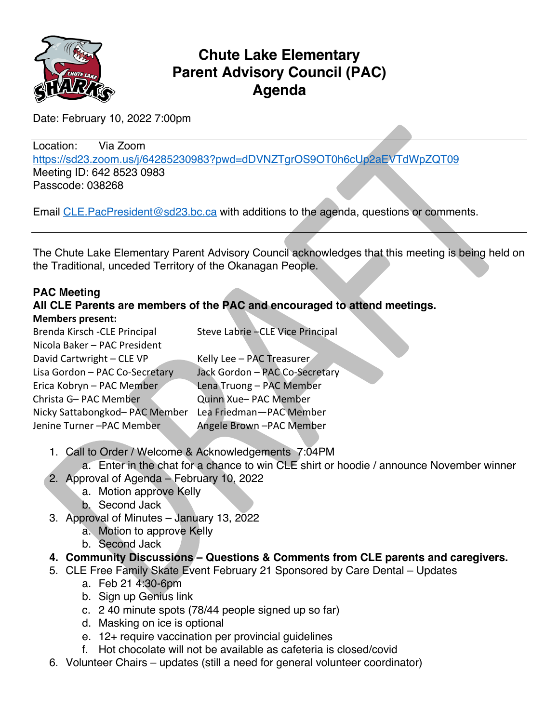

# **Chute Lake Elementary Parent Advisory Council (PAC) Agenda**

Date: February 10, 2022 7:00pm

Location: Via Zoom https://sd23.zoom.us/j/64285230983?pwd=dDVNZTgrOS9OT0h6cUp2aEVTdWpZQT09 Meeting ID: 642 8523 0983 Passcode: 038268

Email CLE. PacPresident@sd23.bc.ca with additions to the agenda, questions or comments.

The Chute Lake Elementary Parent Advisory Council acknowledges that this meeting is being held on the Traditional, unceded Territory of the Okanagan People.

### **PAC Meeting**

## **All CLE Parents are members of the PAC and encouraged to attend meetings. Members present:**

| Brenda Kirsch - CLE Principal  | Steve Labrie - CLE Vice Principal |
|--------------------------------|-----------------------------------|
| Nicola Baker - PAC President   |                                   |
| David Cartwright - CLE VP      | Kelly Lee - PAC Treasurer         |
| Lisa Gordon - PAC Co-Secretary | Jack Gordon - PAC Co-Secretary    |
| Erica Kobryn - PAC Member      | Lena Truong - PAC Member          |
| Christa G- PAC Member          | Quinn Xue- PAC Member             |
| Nicky Sattabongkod- PAC Member | Lea Friedman-PAC Member           |
| Jenine Turner -PAC Member      | Angele Brown -PAC Member          |
|                                |                                   |

1. Call to Order / Welcome & Acknowledgements 7:04PM

a. Enter in the chat for a chance to win CLE shirt or hoodie / announce November winner

- 2. Approval of Agenda February 10, 2022
	- a. Motion approve Kelly
	- b. Second Jack
- 3. Approval of Minutes January 13, 2022
	- a. Motion to approve Kelly
	- b. Second Jack

### **4. Community Discussions – Questions & Comments from CLE parents and caregivers.**

- 5. CLE Free Family Skate Event February 21 Sponsored by Care Dental Updates
	- a. Feb 21 4:30-6pm
	- b. Sign up Genius link
	- c. 2 40 minute spots (78/44 people signed up so far)
	- d. Masking on ice is optional
	- e. 12+ require vaccination per provincial guidelines
	- f. Hot chocolate will not be available as cafeteria is closed/covid
- 6. Volunteer Chairs updates (still a need for general volunteer coordinator)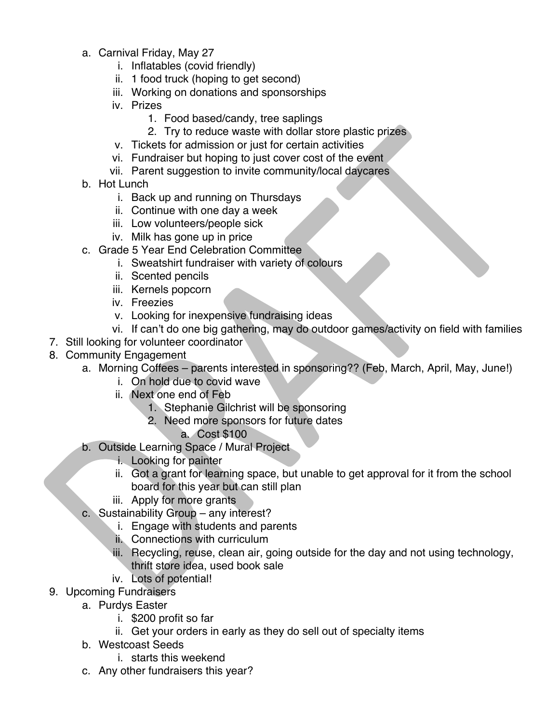- a. Carnival Friday, May 27
	- i. Inflatables (covid friendly)
	- ii. 1 food truck (hoping to get second)
	- iii. Working on donations and sponsorships
	- iv. Prizes
		- 1. Food based/candy, tree saplings
		- 2. Try to reduce waste with dollar store plastic prizes
	- v. Tickets for admission or just for certain activities
	- vi. Fundraiser but hoping to just cover cost of the event
	- vii. Parent suggestion to invite community/local daycares
- b. Hot Lunch
	- i. Back up and running on Thursdays
	- ii. Continue with one day a week
	- iii. Low volunteers/people sick
	- iv. Milk has gone up in price
- c. Grade 5 Year End Celebration Committee
	- i. Sweatshirt fundraiser with variety of colours
	- ii. Scented pencils
	- iii. Kernels popcorn
	- iv. Freezies
	- v. Looking for inexpensive fundraising ideas
- vi. If can't do one big gathering, may do outdoor games/activity on field with families
- 7. Still looking for volunteer coordinator
- 8. Community Engagement
	- a. Morning Coffees parents interested in sponsoring?? (Feb, March, April, May, June!)
		- i. On hold due to covid wave
		- ii. Next one end of Feb
			- 1. Stephanie Gilchrist will be sponsoring
			- 2. Need more sponsors for future dates
				- a. Cost \$100
	- b. Outside Learning Space / Mural Project
		- i. Looking for painter
		- ii. Got a grant for learning space, but unable to get approval for it from the school board for this year but can still plan
		- iii. Apply for more grants
	- c. Sustainability Group any interest?
		- i. Engage with students and parents
		- ii. Connections with curriculum
		- iii. Recycling, reuse, clean air, going outside for the day and not using technology, thrift store idea, used book sale
		- iv. Lots of potential!
- 9. Upcoming Fundraisers
	- a. Purdys Easter
		- i. \$200 profit so far
		- ii. Get your orders in early as they do sell out of specialty items
	- b. Westcoast Seeds
		- i. starts this weekend
	- c. Any other fundraisers this year?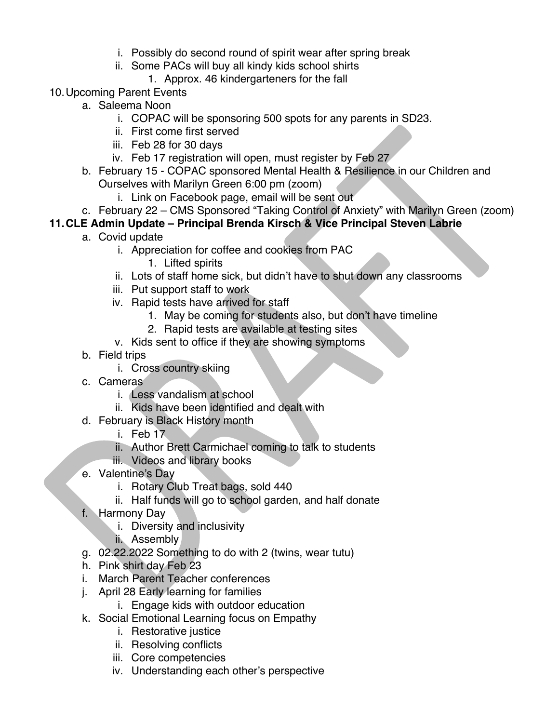- i. Possibly do second round of spirit wear after spring break
- ii. Some PACs will buy all kindy kids school shirts
	- 1. Approx. 46 kindergarteners for the fall
- 10.Upcoming Parent Events
	- a. Saleema Noon
		- i. COPAC will be sponsoring 500 spots for any parents in SD23.
		- ii. First come first served
		- iii. Feb 28 for 30 days
		- iv. Feb 17 registration will open, must register by Feb 27
	- b. February 15 COPAC sponsored Mental Health & Resilience in our Children and Ourselves with Marilyn Green 6:00 pm (zoom)
		- i. Link on Facebook page, email will be sent out
- c. February 22 CMS Sponsored "Taking Control of Anxiety" with Marilyn Green (zoom)

# **11.CLE Admin Update – Principal Brenda Kirsch & Vice Principal Steven Labrie**

- a. Covid update
	- i. Appreciation for coffee and cookies from PAC
		- 1. Lifted spirits
	- ii. Lots of staff home sick, but didn't have to shut down any classrooms
	- iii. Put support staff to work
	- iv. Rapid tests have arrived for staff
		- 1. May be coming for students also, but don't have timeline
		- 2. Rapid tests are available at testing sites
	- v. Kids sent to office if they are showing symptoms
- b. Field trips
	- i. Cross country skiing
- c. Cameras
	- i. Less vandalism at school
	- ii. Kids have been identified and dealt with
- d. February is Black History month
	- i. Feb 17
	- ii. Author Brett Carmichael coming to talk to students
	- iii. Videos and library books
- e. Valentine's Day
	- i. Rotary Club Treat bags, sold 440
	- ii. Half funds will go to school garden, and half donate
- f. Harmony Day
	- i. Diversity and inclusivity
	- ii. Assembly
- g. 02.22.2022 Something to do with 2 (twins, wear tutu)
- h. Pink shirt day Feb 23
- i. March Parent Teacher conferences
- j. April 28 Early learning for families
	- i. Engage kids with outdoor education
- k. Social Emotional Learning focus on Empathy
	- i. Restorative justice
	- ii. Resolving conflicts
	- iii. Core competencies
	- iv. Understanding each other's perspective